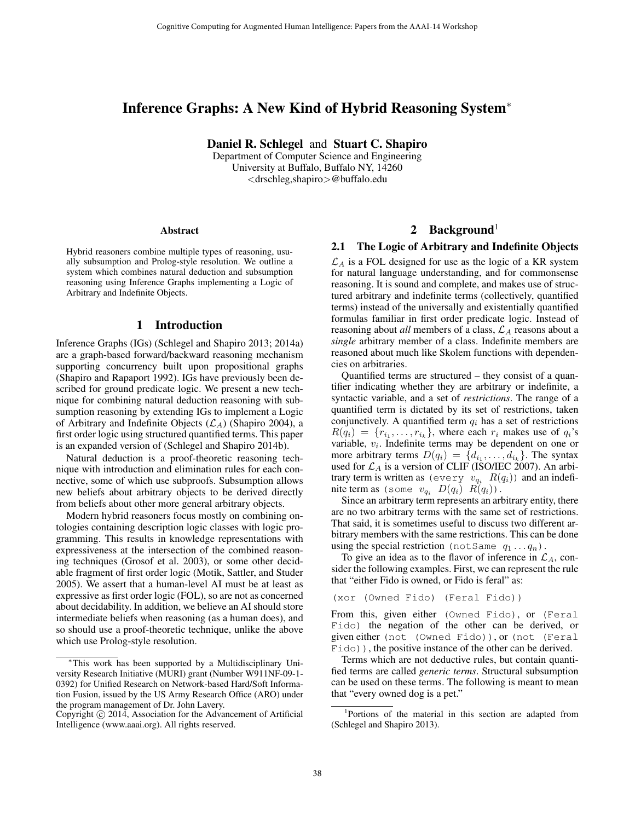# Inference Graphs: A New Kind of Hybrid Reasoning System<sup>∗</sup>

Daniel R. Schlegel and Stuart C. Shapiro

Department of Computer Science and Engineering University at Buffalo, Buffalo NY, 14260 <drschleg,shapiro>@buffalo.edu

#### Abstract

Hybrid reasoners combine multiple types of reasoning, usually subsumption and Prolog-style resolution. We outline a system which combines natural deduction and subsumption reasoning using Inference Graphs implementing a Logic of Arbitrary and Indefinite Objects.

### 1 Introduction

Inference Graphs (IGs) (Schlegel and Shapiro 2013; 2014a) are a graph-based forward/backward reasoning mechanism supporting concurrency built upon propositional graphs (Shapiro and Rapaport 1992). IGs have previously been described for ground predicate logic. We present a new technique for combining natural deduction reasoning with subsumption reasoning by extending IGs to implement a Logic of Arbitrary and Indefinite Objects  $(\mathcal{L}_A)$  (Shapiro 2004), a first order logic using structured quantified terms. This paper is an expanded version of (Schlegel and Shapiro 2014b).

Natural deduction is a proof-theoretic reasoning technique with introduction and elimination rules for each connective, some of which use subproofs. Subsumption allows new beliefs about arbitrary objects to be derived directly from beliefs about other more general arbitrary objects.

Modern hybrid reasoners focus mostly on combining ontologies containing description logic classes with logic programming. This results in knowledge representations with expressiveness at the intersection of the combined reasoning techniques (Grosof et al. 2003), or some other decidable fragment of first order logic (Motik, Sattler, and Studer 2005). We assert that a human-level AI must be at least as expressive as first order logic (FOL), so are not as concerned about decidability. In addition, we believe an AI should store intermediate beliefs when reasoning (as a human does), and so should use a proof-theoretic technique, unlike the above which use Prolog-style resolution.

## 2 Background<sup>1</sup>

#### 2.1 The Logic of Arbitrary and Indefinite Objects

 $\mathcal{L}_A$  is a FOL designed for use as the logic of a KR system for natural language understanding, and for commonsense reasoning. It is sound and complete, and makes use of structured arbitrary and indefinite terms (collectively, quantified terms) instead of the universally and existentially quantified formulas familiar in first order predicate logic. Instead of reasoning about *all* members of a class,  $\mathcal{L}_A$  reasons about a *single* arbitrary member of a class. Indefinite members are reasoned about much like Skolem functions with dependencies on arbitraries.

Quantified terms are structured – they consist of a quantifier indicating whether they are arbitrary or indefinite, a syntactic variable, and a set of *restrictions*. The range of a quantified term is dictated by its set of restrictions, taken conjunctively. A quantified term  $q_i$  has a set of restrictions  $R(q_i) = \{r_{i_1}, \ldots, r_{i_k}\}\$ , where each  $r_i$  makes use of  $q_i$ 's variable,  $v_i$ . Indefinite terms may be dependent on one or more arbitrary terms  $D(q_i) = \{d_{i_1}, \ldots, d_{i_k}\}.$  The syntax used for  $\mathcal{L}_A$  is a version of CLIF (ISO/IEC 2007). An arbitrary term is written as (every  $v_{q_i}$   $R(q_i)$ ) and an indefinite term as (some  $v_{q_i}$   $D(q_i)$   $R(q_i)$ ).

Since an arbitrary term represents an arbitrary entity, there are no two arbitrary terms with the same set of restrictions. That said, it is sometimes useful to discuss two different arbitrary members with the same restrictions. This can be done using the special restriction (not Same  $q_1 \ldots q_n$ ).

To give an idea as to the flavor of inference in  $\mathcal{L}_A$ , consider the following examples. First, we can represent the rule that "either Fido is owned, or Fido is feral" as:

(xor (Owned Fido) (Feral Fido))

From this, given either (Owned Fido), or (Feral Fido) the negation of the other can be derived, or given either (not (Owned Fido)), or (not (Feral Fido)), the positive instance of the other can be derived.

Terms which are not deductive rules, but contain quantified terms are called *generic terms*. Structural subsumption can be used on these terms. The following is meant to mean that "every owned dog is a pet."

<sup>∗</sup>This work has been supported by a Multidisciplinary University Research Initiative (MURI) grant (Number W911NF-09-1- 0392) for Unified Research on Network-based Hard/Soft Information Fusion, issued by the US Army Research Office (ARO) under the program management of Dr. John Lavery.

Copyright  $\odot$  2014, Association for the Advancement of Artificial Intelligence (www.aaai.org). All rights reserved.

<sup>1</sup> Portions of the material in this section are adapted from (Schlegel and Shapiro 2013).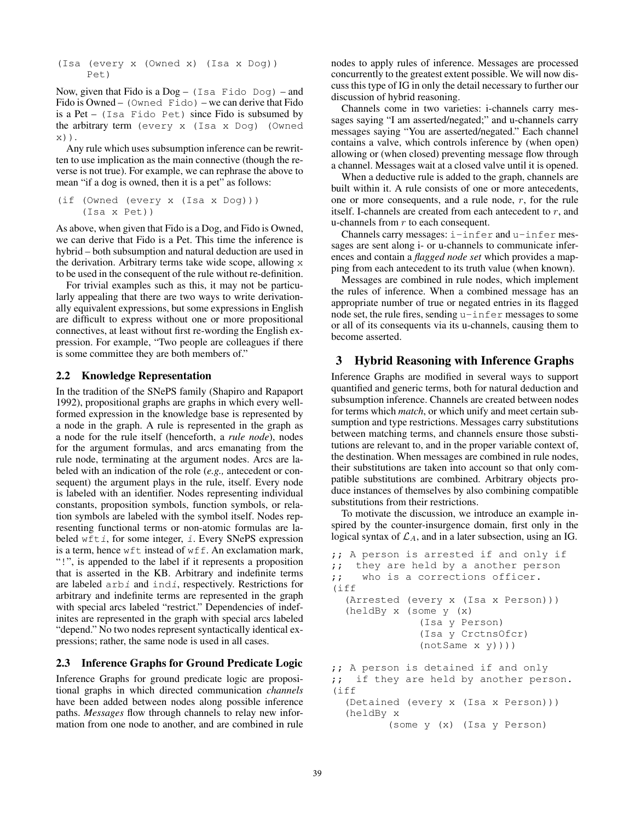(Isa (every x (Owned x) (Isa x Dog)) Pet)

Now, given that Fido is a Dog – (Isa Fido Dog) – and Fido is Owned – (Owned Fido) – we can derive that Fido is a Pet – (Isa Fido Pet) since Fido is subsumed by the arbitrary term (every x (Isa x Dog) (Owned x)).

Any rule which uses subsumption inference can be rewritten to use implication as the main connective (though the reverse is not true). For example, we can rephrase the above to mean "if a dog is owned, then it is a pet" as follows:

```
(if (Owned (every x (Isa x Dog)))
    (Isa x Pet))
```
As above, when given that Fido is a Dog, and Fido is Owned, we can derive that Fido is a Pet. This time the inference is hybrid – both subsumption and natural deduction are used in the derivation. Arbitrary terms take wide scope, allowing  $x$ to be used in the consequent of the rule without re-definition.

For trivial examples such as this, it may not be particularly appealing that there are two ways to write derivationally equivalent expressions, but some expressions in English are difficult to express without one or more propositional connectives, at least without first re-wording the English expression. For example, "Two people are colleagues if there is some committee they are both members of."

### 2.2 Knowledge Representation

In the tradition of the SNePS family (Shapiro and Rapaport 1992), propositional graphs are graphs in which every wellformed expression in the knowledge base is represented by a node in the graph. A rule is represented in the graph as a node for the rule itself (henceforth, a *rule node*), nodes for the argument formulas, and arcs emanating from the rule node, terminating at the argument nodes. Arcs are labeled with an indication of the role (*e.g.,* antecedent or consequent) the argument plays in the rule, itself. Every node is labeled with an identifier. Nodes representing individual constants, proposition symbols, function symbols, or relation symbols are labeled with the symbol itself. Nodes representing functional terms or non-atomic formulas are labeled wfti, for some integer, i. Every SNePS expression is a term, hence wft instead of wff. An exclamation mark, "!", is appended to the label if it represents a proposition that is asserted in the KB. Arbitrary and indefinite terms are labeled arbi and indi, respectively. Restrictions for arbitrary and indefinite terms are represented in the graph with special arcs labeled "restrict." Dependencies of indefinites are represented in the graph with special arcs labeled "depend." No two nodes represent syntactically identical expressions; rather, the same node is used in all cases.

## 2.3 Inference Graphs for Ground Predicate Logic

Inference Graphs for ground predicate logic are propositional graphs in which directed communication *channels* have been added between nodes along possible inference paths. *Messages* flow through channels to relay new information from one node to another, and are combined in rule

nodes to apply rules of inference. Messages are processed concurrently to the greatest extent possible. We will now discuss this type of IG in only the detail necessary to further our discussion of hybrid reasoning.

Channels come in two varieties: i-channels carry messages saying "I am asserted/negated;" and u-channels carry messages saying "You are asserted/negated." Each channel contains a valve, which controls inference by (when open) allowing or (when closed) preventing message flow through a channel. Messages wait at a closed valve until it is opened.

When a deductive rule is added to the graph, channels are built within it. A rule consists of one or more antecedents, one or more consequents, and a rule node, r, for the rule itself. I-channels are created from each antecedent to  $r$ , and u-channels from  $r$  to each consequent.

Channels carry messages: i-infer and u-infer messages are sent along i- or u-channels to communicate inferences and contain a *flagged node set* which provides a mapping from each antecedent to its truth value (when known).

Messages are combined in rule nodes, which implement the rules of inference. When a combined message has an appropriate number of true or negated entries in its flagged node set, the rule fires, sending u-infer messages to some or all of its consequents via its u-channels, causing them to become asserted.

## 3 Hybrid Reasoning with Inference Graphs

Inference Graphs are modified in several ways to support quantified and generic terms, both for natural deduction and subsumption inference. Channels are created between nodes for terms which *match*, or which unify and meet certain subsumption and type restrictions. Messages carry substitutions between matching terms, and channels ensure those substitutions are relevant to, and in the proper variable context of, the destination. When messages are combined in rule nodes, their substitutions are taken into account so that only compatible substitutions are combined. Arbitrary objects produce instances of themselves by also combining compatible substitutions from their restrictions.

To motivate the discussion, we introduce an example inspired by the counter-insurgence domain, first only in the logical syntax of  $\mathcal{L}_A$ , and in a later subsection, using an IG.

```
;; A person is arrested if and only if
;; they are held by a another person
;; who is a corrections officer.
(iff
  (Arrested (every x (Isa x Person)))
  (heldBy x (some y (x)
              (Isa y Person)
              (Isa y CrctnsOfcr)
              (notSame x y))))
;; A person is detained if and only
;; if they are held by another person.
(iff
  (Detained (every x (Isa x Person)))
  (heldBy x
         (some y (x) (Isa y Person)
```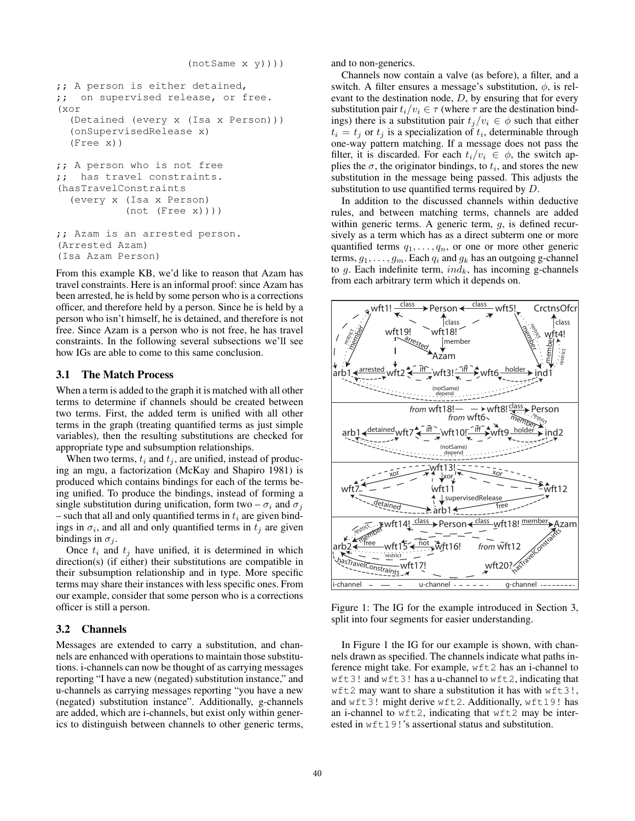```
;; A person is either detained,
;; on supervised release, or free.
(xor
  (Detained (every x (Isa x Person)))
  (onSupervisedRelease x)
  (Free x))
;; A person who is not free
;; has travel constraints.
(hasTravelConstraints
  (every x (Isa x Person)
           (not (Free x))))
;; Azam is an arrested person.
(Arrested Azam)
(Isa Azam Person)
```
From this example KB, we'd like to reason that Azam has travel constraints. Here is an informal proof: since Azam has been arrested, he is held by some person who is a corrections officer, and therefore held by a person. Since he is held by a person who isn't himself, he is detained, and therefore is not free. Since Azam is a person who is not free, he has travel constraints. In the following several subsections we'll see how IGs are able to come to this same conclusion.

### 3.1 The Match Process

When a term is added to the graph it is matched with all other terms to determine if channels should be created between two terms. First, the added term is unified with all other terms in the graph (treating quantified terms as just simple variables), then the resulting substitutions are checked for appropriate type and subsumption relationships.

When two terms,  $t_i$  and  $t_j$ , are unified, instead of producing an mgu, a factorization (McKay and Shapiro 1981) is produced which contains bindings for each of the terms being unified. To produce the bindings, instead of forming a single substitution during unification, form two –  $\sigma_i$  and  $\sigma_j$ – such that all and only quantified terms in  $t_i$  are given bindings in  $\sigma_i$ , and all and only quantified terms in  $t_j$  are given bindings in  $\sigma_i$ .

Once  $t_i$  and  $t_j$  have unified, it is determined in which direction(s) (if either) their substitutions are compatible in their subsumption relationship and in type. More specific terms may share their instances with less specific ones. From our example, consider that some person who is a corrections officer is still a person.

#### 3.2 Channels

Messages are extended to carry a substitution, and channels are enhanced with operations to maintain those substitutions. i-channels can now be thought of as carrying messages reporting "I have a new (negated) substitution instance," and u-channels as carrying messages reporting "you have a new (negated) substitution instance". Additionally, g-channels are added, which are i-channels, but exist only within generics to distinguish between channels to other generic terms, and to non-generics.

Channels now contain a valve (as before), a filter, and a switch. A filter ensures a message's substitution,  $\phi$ , is relevant to the destination node,  $D$ , by ensuring that for every substitution pair  $t_i/v_i \in \tau$  (where  $\tau$  are the destination bindings) there is a substitution pair  $t_j/v_i \in \phi$  such that either  $t_i = t_j$  or  $t_j$  is a specialization of  $t_i$ , determinable through one-way pattern matching. If a message does not pass the filter, it is discarded. For each  $t_i/v_i \in \phi$ , the switch applies the  $\sigma$ , the originator bindings, to  $t_i$ , and stores the new substitution in the message being passed. This adjusts the substitution to use quantified terms required by D.

In addition to the discussed channels within deductive rules, and between matching terms, channels are added within generic terms. A generic term,  $q$ , is defined recursively as a term which has as a direct subterm one or more quantified terms  $q_1, \ldots, q_n$ , or one or more other generic terms,  $g_1, \ldots, g_m$ . Each  $q_i$  and  $g_k$  has an outgoing g-channel to  $g$ . Each indefinite term,  $ind_k$ , has incoming g-channels from each arbitrary term which it depends on.



Figure 1: The IG for the example introduced in Section 3, split into four segments for easier understanding.

In Figure 1 the IG for our example is shown, with channels drawn as specified. The channels indicate what paths inference might take. For example, wft2 has an i-channel to wft3! and wft3! has a u-channel to wft2, indicating that wft2 may want to share a substitution it has with wft3!, and wft3! might derive wft2. Additionally, wft19! has an i-channel to wft2, indicating that wft2 may be interested in wft19!'s assertional status and substitution.